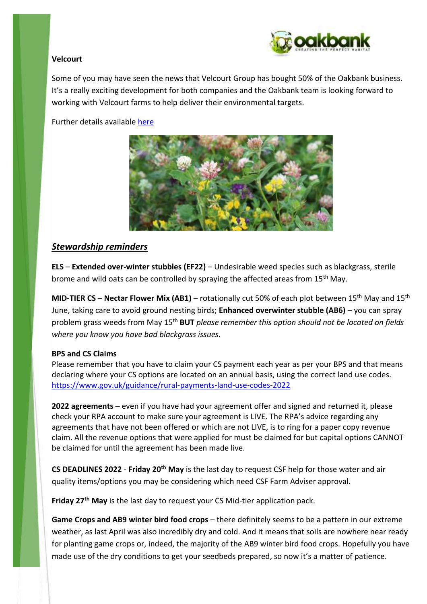

# **Velcourt**

Some of you may have seen the news that Velcourt Group has bought 50% of the Oakbank business. It's a really exciting development for both companies and the Oakbank team is looking forward to working with Velcourt farms to help deliver their environmental targets.

Further details available [here](https://www.oakbankgc.co.uk/velcourt-acquires-stake-in-oakbank-as-demand-for-greener-land-management-increase/)



# *Stewardship reminders*

**ELS** – **Extended over-winter stubbles (EF22)** – Undesirable weed species such as blackgrass, sterile brome and wild oats can be controlled by spraying the affected areas from 15<sup>th</sup> May.

**MID-TIER CS – Nectar Flower Mix (AB1)** – rotationally cut 50% of each plot between 15<sup>th</sup> May and 15<sup>th</sup> June, taking care to avoid ground nesting birds; **Enhanced overwinter stubble (AB6)** – you can spray problem grass weeds from May 15th **BUT** *please remember this option should not be located on fields where you know you have bad blackgrass issues.*

# **BPS and CS Claims**

Please remember that you have to claim your CS payment each year as per your BPS and that means declaring where your CS options are located on an annual basis, using the correct land use codes. <https://www.gov.uk/guidance/rural-payments-land-use-codes-2022>

**2022 agreements** – even if you have had your agreement offer and signed and returned it, please check your RPA account to make sure your agreement is LIVE. The RPA's advice regarding any agreements that have not been offered or which are not LIVE, is to ring for a paper copy revenue claim. All the revenue options that were applied for must be claimed for but capital options CANNOT be claimed for until the agreement has been made live.

**CS DEADLINES 2022** - **Friday 20th May** is the last day to request CSF help for those water and air quality items/options you may be considering which need CSF Farm Adviser approval.

**Friday 27th May** is the last day to request your CS Mid-tier application pack.

**Game Crops and AB9 winter bird food crops** – there definitely seems to be a pattern in our extreme weather, as last April was also incredibly dry and cold. And it means that soils are nowhere near ready for planting game crops or, indeed, the majority of the AB9 winter bird food crops. Hopefully you have made use of the dry conditions to get your seedbeds prepared, so now it's a matter of patience.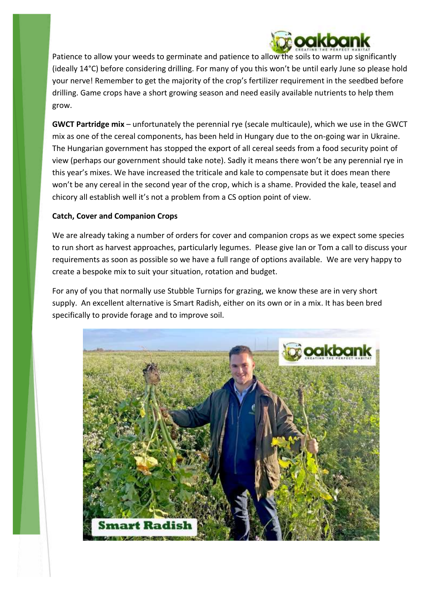

Patience to allow your weeds to germinate and patience to allow the soils to warm up significantly (ideally 14°C) before considering drilling. For many of you this won't be until early June so please hold your nerve! Remember to get the majority of the crop's fertilizer requirement in the seedbed before drilling. Game crops have a short growing season and need easily available nutrients to help them grow.

**GWCT Partridge mix** – unfortunately the perennial rye (secale multicaule), which we use in the GWCT mix as one of the cereal components, has been held in Hungary due to the on-going war in Ukraine. The Hungarian government has stopped the export of all cereal seeds from a food security point of view (perhaps our government should take note). Sadly it means there won't be any perennial rye in this year's mixes. We have increased the triticale and kale to compensate but it does mean there won't be any cereal in the second year of the crop, which is a shame. Provided the kale, teasel and chicory all establish well it's not a problem from a CS option point of view.

# **Catch, Cover and Companion Crops**

We are already taking a number of orders for cover and companion crops as we expect some species to run short as harvest approaches, particularly legumes. Please give Ian or Tom a call to discuss your requirements as soon as possible so we have a full range of options available. We are very happy to create a bespoke mix to suit your situation, rotation and budget.

For any of you that normally use Stubble Turnips for grazing, we know these are in very short supply. An excellent alternative is Smart Radish, either on its own or in a mix. It has been bred specifically to provide forage and to improve soil.